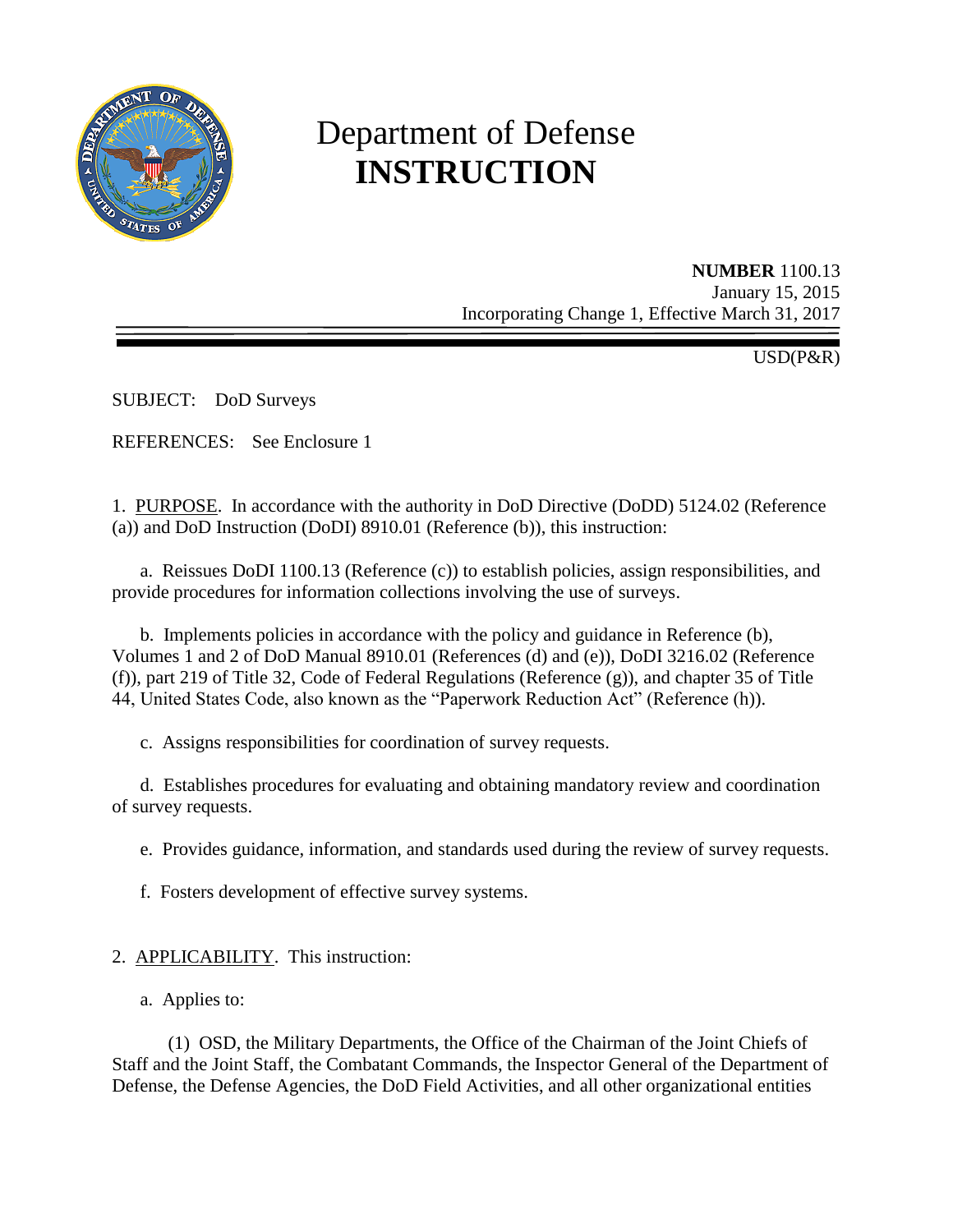

# Department of Defense **INSTRUCTION**

**NUMBER** 1100.13 January 15, 2015 Incorporating Change 1, Effective March 31, 2017

USD(P&R)

SUBJECT: DoD Surveys

REFERENCES: See Enclosure 1

1. PURPOSE. In accordance with the authority in DoD Directive (DoDD) 5124.02 (Reference (a)) and DoD Instruction (DoDI) 8910.01 (Reference (b)), this instruction:

a. Reissues DoDI 1100.13 (Reference (c)) to establish policies, assign responsibilities, and provide procedures for information collections involving the use of surveys.

b. Implements policies in accordance with the policy and guidance in Reference (b), Volumes 1 and 2 of DoD Manual 8910.01 (References (d) and (e)), DoDI 3216.02 (Reference (f)), part 219 of Title 32, Code of Federal Regulations (Reference (g)), and chapter 35 of Title 44, United States Code, also known as the "Paperwork Reduction Act" (Reference (h)).

c. Assigns responsibilities for coordination of survey requests.

d. Establishes procedures for evaluating and obtaining mandatory review and coordination of survey requests.

e. Provides guidance, information, and standards used during the review of survey requests.

f. Fosters development of effective survey systems.

- 2. APPLICABILITY. This instruction:
	- a. Applies to:

(1) OSD, the Military Departments, the Office of the Chairman of the Joint Chiefs of Staff and the Joint Staff, the Combatant Commands, the Inspector General of the Department of Defense, the Defense Agencies, the DoD Field Activities, and all other organizational entities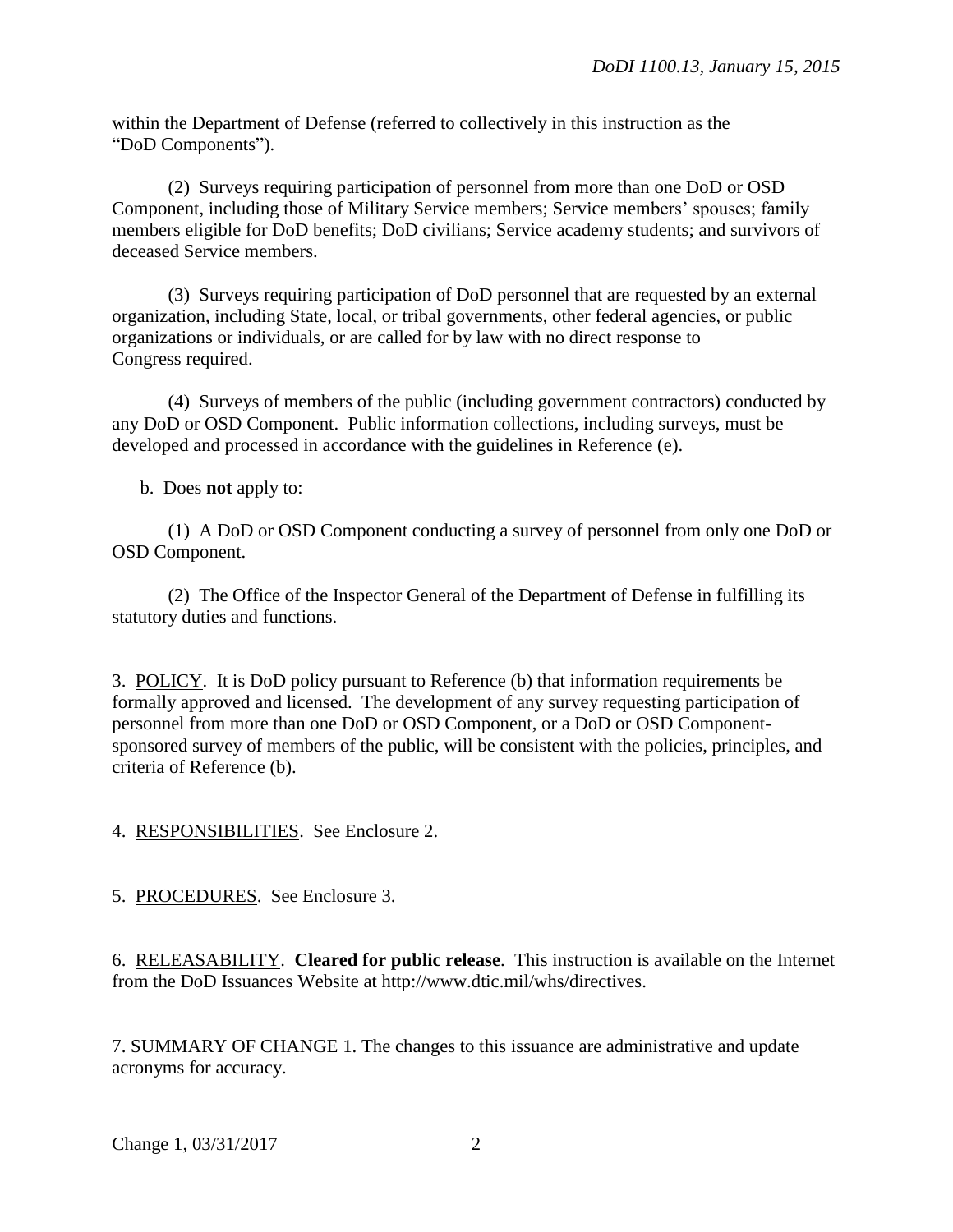within the Department of Defense (referred to collectively in this instruction as the "DoD Components").

(2) Surveys requiring participation of personnel from more than one DoD or OSD Component, including those of Military Service members; Service members' spouses; family members eligible for DoD benefits; DoD civilians; Service academy students; and survivors of deceased Service members.

(3) Surveys requiring participation of DoD personnel that are requested by an external organization, including State, local, or tribal governments, other federal agencies, or public organizations or individuals, or are called for by law with no direct response to Congress required.

(4) Surveys of members of the public (including government contractors) conducted by any DoD or OSD Component. Public information collections, including surveys, must be developed and processed in accordance with the guidelines in Reference (e).

b. Does **not** apply to:

(1) A DoD or OSD Component conducting a survey of personnel from only one DoD or OSD Component.

(2) The Office of the Inspector General of the Department of Defense in fulfilling its statutory duties and functions.

3. POLICY. It is DoD policy pursuant to Reference (b) that information requirements be formally approved and licensed. The development of any survey requesting participation of personnel from more than one DoD or OSD Component, or a DoD or OSD Componentsponsored survey of members of the public, will be consistent with the policies, principles, and criteria of Reference (b).

4. RESPONSIBILITIES. See Enclosure 2.

5. PROCEDURES. See Enclosure 3.

6. RELEASABILITY. **Cleared for public release**. This instruction is available on the Internet from the DoD Issuances Website at http://www.dtic.mil/whs/directives.

7. SUMMARY OF CHANGE 1. The changes to this issuance are administrative and update acronyms for accuracy.

Change 1, 03/31/2017 2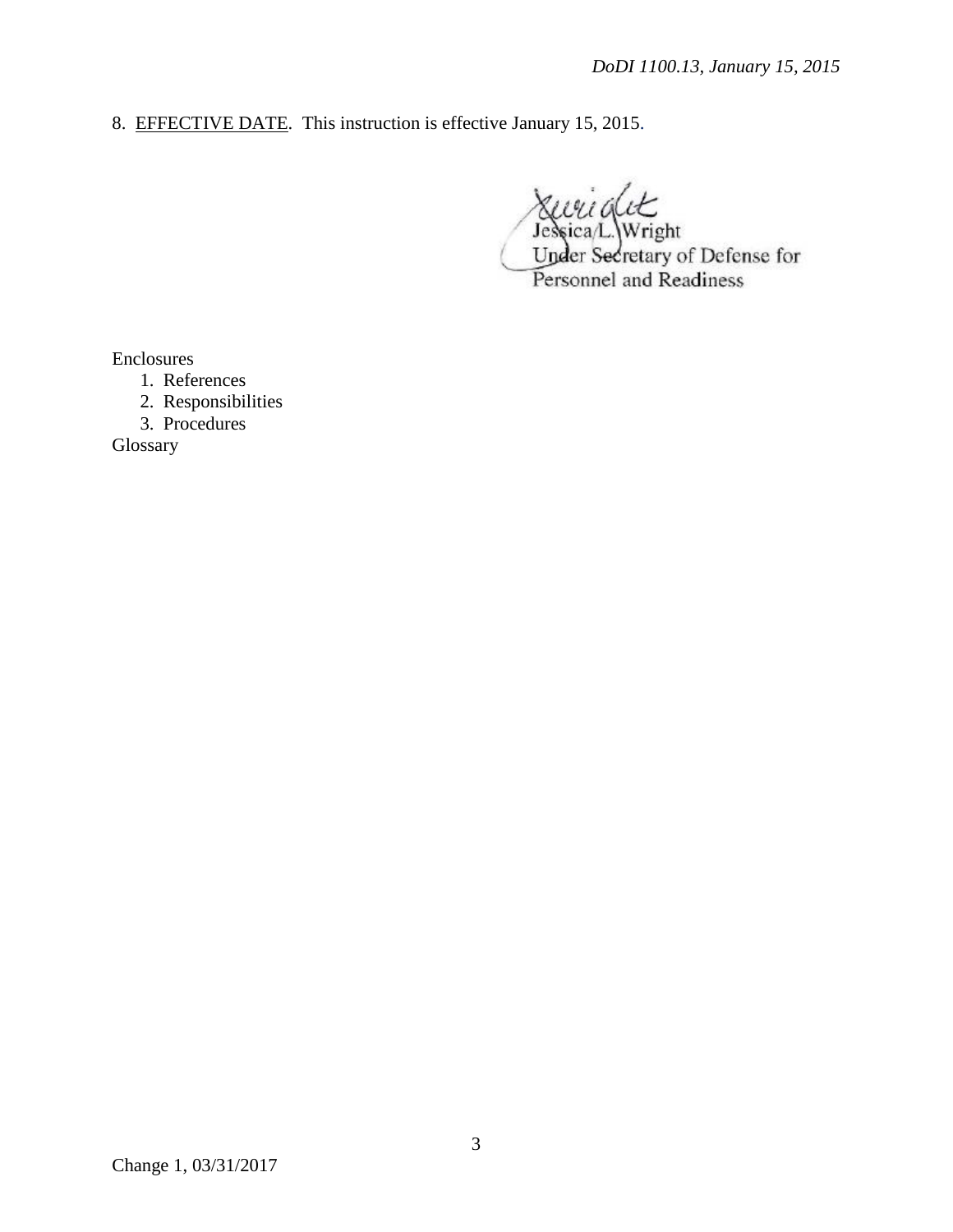8. EFFECTIVE DATE. This instruction is effective January 15, 2015.

 $\frac{a}{\sqrt{2}}$ ica/L.\Wright Under Secretary of Defense for Personnel and Readiness

Enclosures

- 1. References
- 2. Responsibilities
- 3. Procedures

Glossary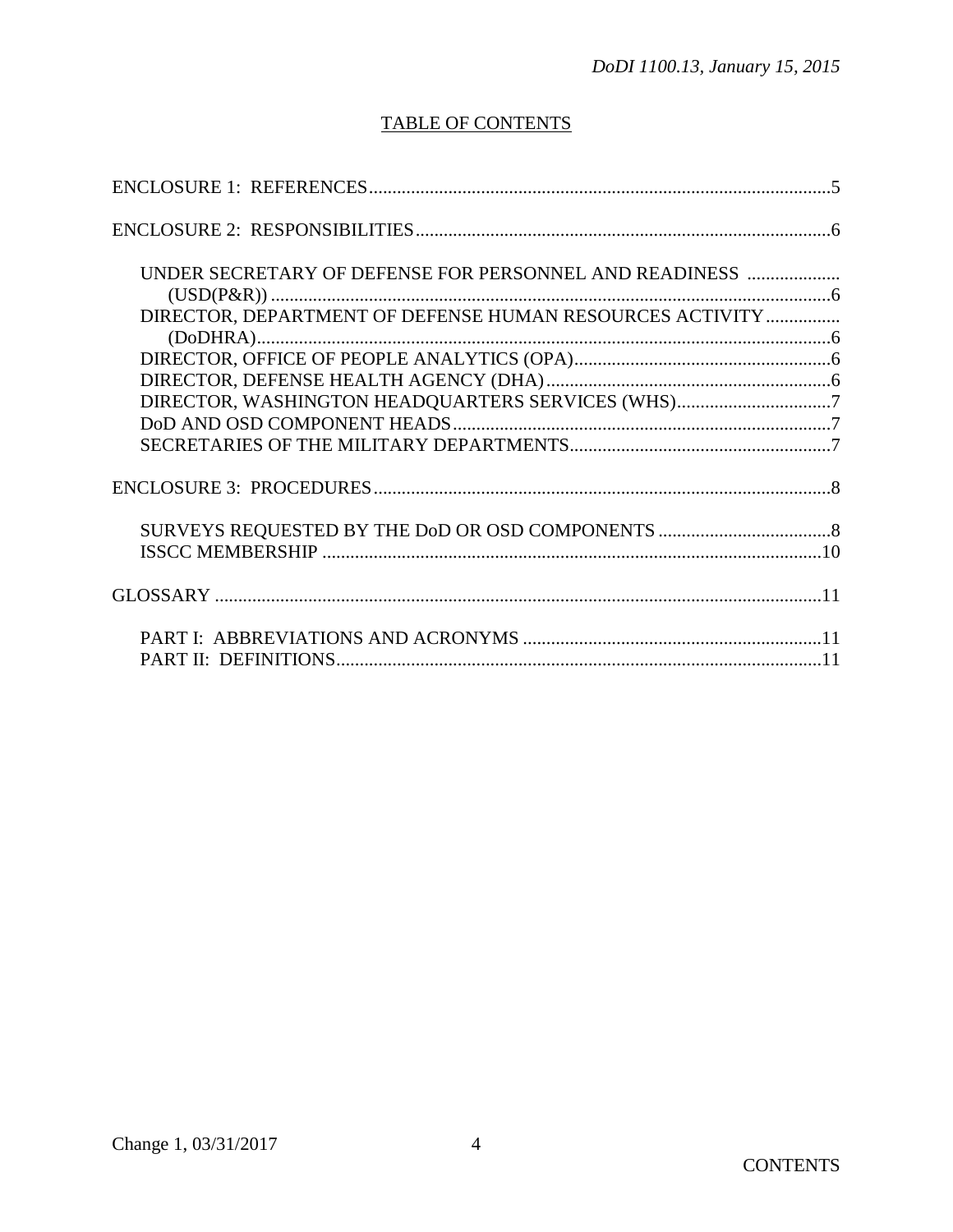# **TABLE OF CONTENTS**

| UNDER SECRETARY OF DEFENSE FOR PERSONNEL AND READINESS   |  |
|----------------------------------------------------------|--|
|                                                          |  |
| DIRECTOR, DEPARTMENT OF DEFENSE HUMAN RESOURCES ACTIVITY |  |
|                                                          |  |
|                                                          |  |
|                                                          |  |
| DIRECTOR, WASHINGTON HEADQUARTERS SERVICES (WHS)7        |  |
|                                                          |  |
|                                                          |  |
|                                                          |  |
|                                                          |  |
|                                                          |  |
|                                                          |  |
|                                                          |  |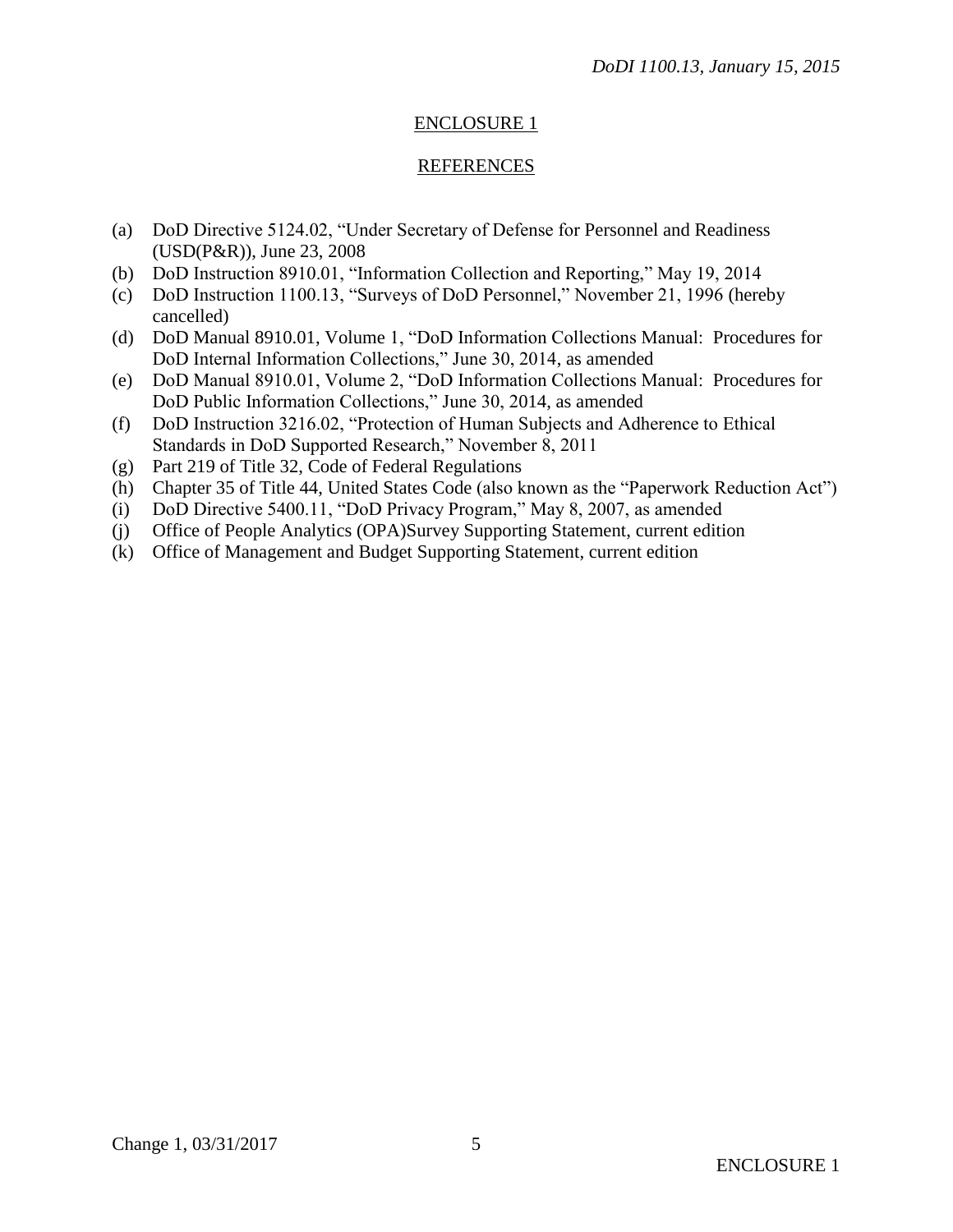# ENCLOSURE 1

## REFERENCES

- (a) DoD Directive 5124.02, "Under Secretary of Defense for Personnel and Readiness (USD(P&R)), June 23, 2008
- (b) DoD Instruction 8910.01, "Information Collection and Reporting," May 19, 2014
- (c) DoD Instruction 1100.13, "Surveys of DoD Personnel," November 21, 1996 (hereby cancelled)
- (d) DoD Manual 8910.01, Volume 1, "DoD Information Collections Manual: Procedures for DoD Internal Information Collections," June 30, 2014, as amended
- (e) DoD Manual 8910.01, Volume 2, "DoD Information Collections Manual: Procedures for DoD Public Information Collections," June 30, 2014, as amended
- (f) DoD Instruction 3216.02, "Protection of Human Subjects and Adherence to Ethical Standards in DoD Supported Research," November 8, 2011
- (g) Part 219 of Title 32, Code of Federal Regulations
- (h) Chapter 35 of Title 44, United States Code (also known as the "Paperwork Reduction Act")
- (i) DoD Directive 5400.11, "DoD Privacy Program," May 8, 2007, as amended
- (j) Office of People Analytics (OPA)Survey Supporting Statement, current edition
- (k) Office of Management and Budget Supporting Statement, current edition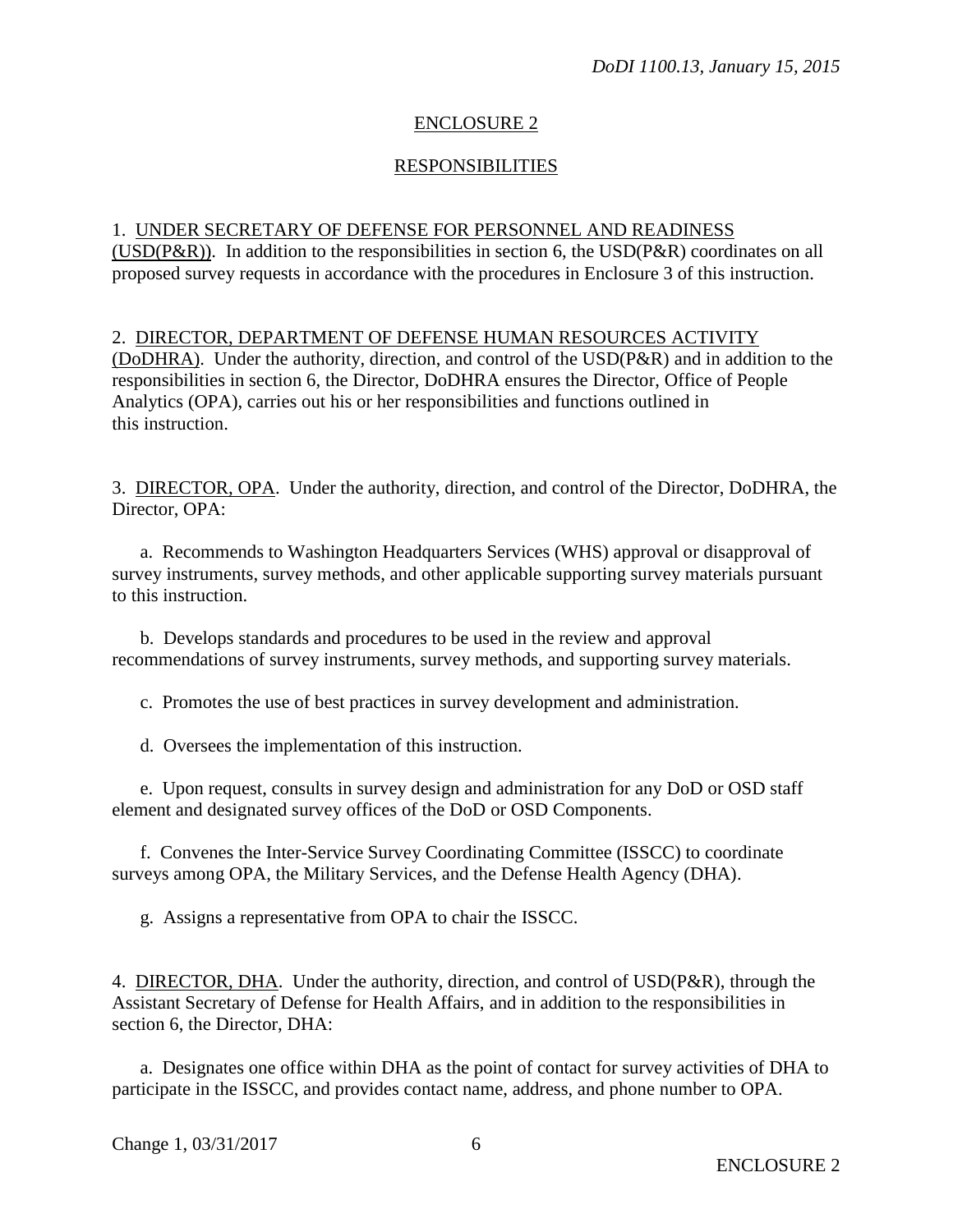# ENCLOSURE 2

#### RESPONSIBILITIES

#### 1. UNDER SECRETARY OF DEFENSE FOR PERSONNEL AND READINESS

(USD( $P\&R$ )). In addition to the responsibilities in section 6, the USD( $P\&R$ ) coordinates on all proposed survey requests in accordance with the procedures in Enclosure 3 of this instruction.

2. DIRECTOR, DEPARTMENT OF DEFENSE HUMAN RESOURCES ACTIVITY (DoDHRA). Under the authority, direction, and control of the USD(P&R) and in addition to the responsibilities in section 6, the Director, DoDHRA ensures the Director, Office of People Analytics (OPA), carries out his or her responsibilities and functions outlined in this instruction.

3. DIRECTOR, OPA. Under the authority, direction, and control of the Director, DoDHRA, the Director, OPA:

a. Recommends to Washington Headquarters Services (WHS) approval or disapproval of survey instruments, survey methods, and other applicable supporting survey materials pursuant to this instruction.

b. Develops standards and procedures to be used in the review and approval recommendations of survey instruments, survey methods, and supporting survey materials.

c. Promotes the use of best practices in survey development and administration.

d. Oversees the implementation of this instruction.

e. Upon request, consults in survey design and administration for any DoD or OSD staff element and designated survey offices of the DoD or OSD Components.

f. Convenes the Inter-Service Survey Coordinating Committee (ISSCC) to coordinate surveys among OPA, the Military Services, and the Defense Health Agency (DHA).

g. Assigns a representative from OPA to chair the ISSCC.

4. DIRECTOR, DHA. Under the authority, direction, and control of USD(P&R), through the Assistant Secretary of Defense for Health Affairs, and in addition to the responsibilities in section 6, the Director, DHA:

a. Designates one office within DHA as the point of contact for survey activities of DHA to participate in the ISSCC, and provides contact name, address, and phone number to OPA.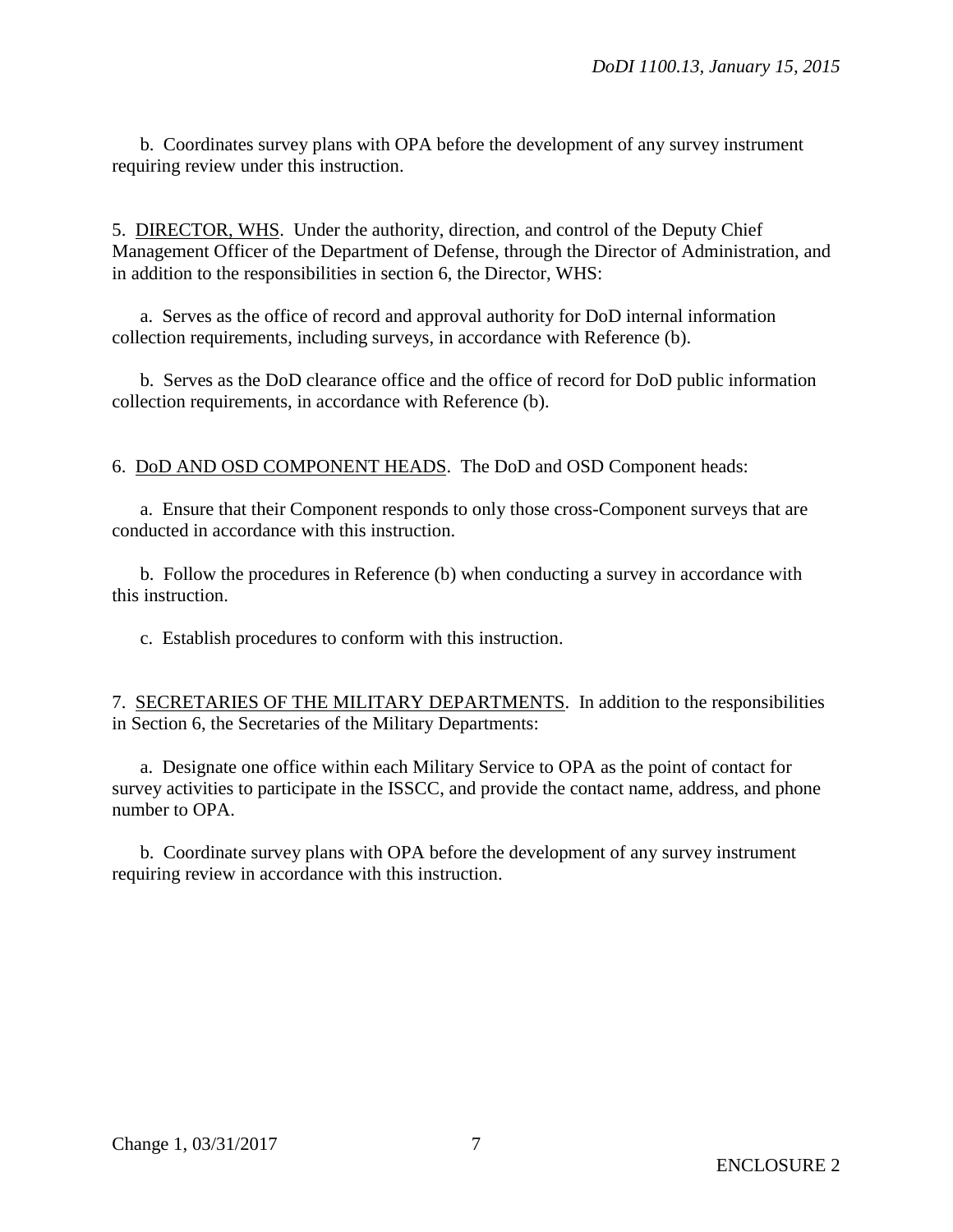b. Coordinates survey plans with OPA before the development of any survey instrument requiring review under this instruction.

5. DIRECTOR, WHS. Under the authority, direction, and control of the Deputy Chief Management Officer of the Department of Defense, through the Director of Administration, and in addition to the responsibilities in section 6, the Director, WHS:

a. Serves as the office of record and approval authority for DoD internal information collection requirements, including surveys, in accordance with Reference (b).

b. Serves as the DoD clearance office and the office of record for DoD public information collection requirements, in accordance with Reference (b).

6. DoD AND OSD COMPONENT HEADS. The DoD and OSD Component heads:

a. Ensure that their Component responds to only those cross-Component surveys that are conducted in accordance with this instruction.

b. Follow the procedures in Reference (b) when conducting a survey in accordance with this instruction.

c. Establish procedures to conform with this instruction.

7. SECRETARIES OF THE MILITARY DEPARTMENTS. In addition to the responsibilities in Section 6, the Secretaries of the Military Departments:

a. Designate one office within each Military Service to OPA as the point of contact for survey activities to participate in the ISSCC, and provide the contact name, address, and phone number to OPA.

b. Coordinate survey plans with OPA before the development of any survey instrument requiring review in accordance with this instruction.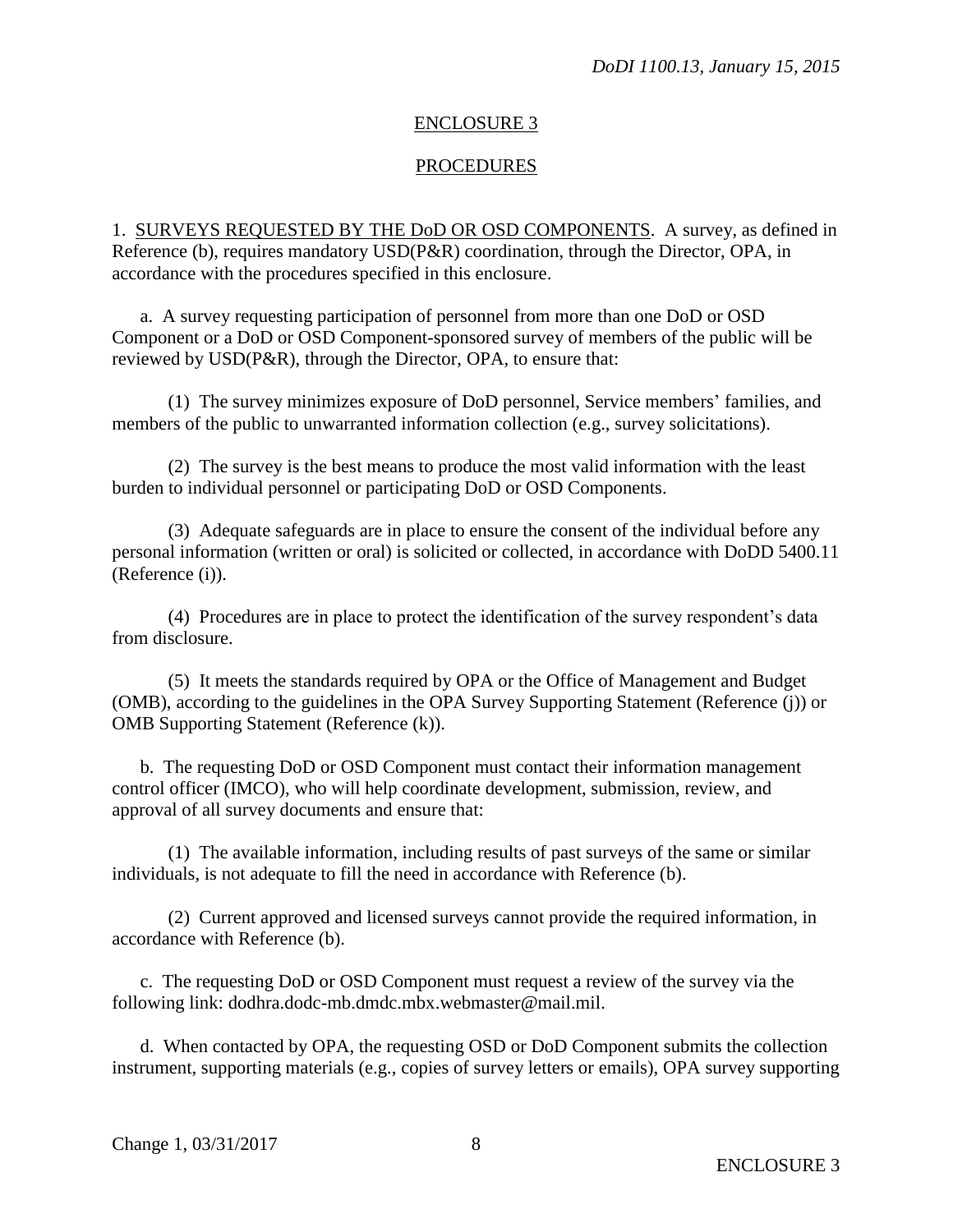#### ENCLOSURE 3

#### PROCEDURES

1. SURVEYS REQUESTED BY THE DoD OR OSD COMPONENTS. A survey, as defined in Reference (b), requires mandatory USD(P&R) coordination, through the Director, OPA, in accordance with the procedures specified in this enclosure.

a. A survey requesting participation of personnel from more than one DoD or OSD Component or a DoD or OSD Component-sponsored survey of members of the public will be reviewed by USD(P&R), through the Director, OPA, to ensure that:

(1) The survey minimizes exposure of DoD personnel, Service members' families, and members of the public to unwarranted information collection (e.g., survey solicitations).

(2) The survey is the best means to produce the most valid information with the least burden to individual personnel or participating DoD or OSD Components.

(3) Adequate safeguards are in place to ensure the consent of the individual before any personal information (written or oral) is solicited or collected, in accordance with DoDD 5400.11 (Reference (i)).

(4) Procedures are in place to protect the identification of the survey respondent's data from disclosure.

(5) It meets the standards required by OPA or the Office of Management and Budget (OMB), according to the guidelines in the OPA Survey Supporting Statement (Reference (j)) or OMB Supporting Statement (Reference (k)).

b. The requesting DoD or OSD Component must contact their information management control officer (IMCO), who will help coordinate development, submission, review, and approval of all survey documents and ensure that:

(1) The available information, including results of past surveys of the same or similar individuals, is not adequate to fill the need in accordance with Reference (b).

(2) Current approved and licensed surveys cannot provide the required information, in accordance with Reference (b).

c. The requesting DoD or OSD Component must request a review of the survey via the following link: dodhra.dodc-mb.dmdc.mbx.webmaster@mail.mil.

d. When contacted by OPA, the requesting OSD or DoD Component submits the collection instrument, supporting materials (e.g., copies of survey letters or emails), OPA survey supporting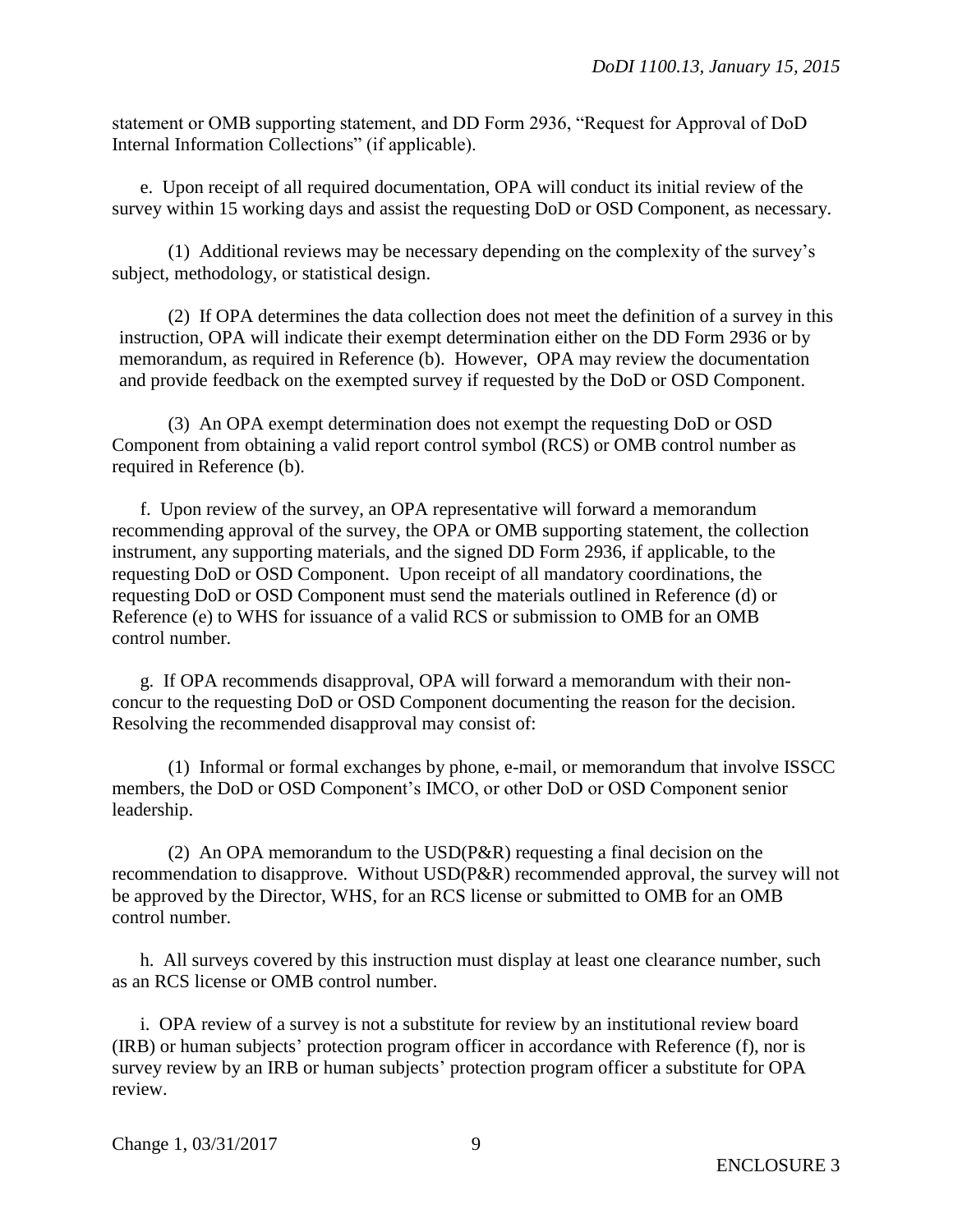statement or OMB supporting statement, and DD Form 2936, "Request for Approval of DoD Internal Information Collections" (if applicable).

e. Upon receipt of all required documentation, OPA will conduct its initial review of the survey within 15 working days and assist the requesting DoD or OSD Component, as necessary.

(1) Additional reviews may be necessary depending on the complexity of the survey's subject, methodology, or statistical design.

(2) If OPA determines the data collection does not meet the definition of a survey in this instruction, OPA will indicate their exempt determination either on the DD Form 2936 or by memorandum, as required in Reference (b). However, OPA may review the documentation and provide feedback on the exempted survey if requested by the DoD or OSD Component.

(3) An OPA exempt determination does not exempt the requesting DoD or OSD Component from obtaining a valid report control symbol (RCS) or OMB control number as required in Reference (b).

f. Upon review of the survey, an OPA representative will forward a memorandum recommending approval of the survey, the OPA or OMB supporting statement, the collection instrument, any supporting materials, and the signed DD Form 2936, if applicable, to the requesting DoD or OSD Component. Upon receipt of all mandatory coordinations, the requesting DoD or OSD Component must send the materials outlined in Reference (d) or Reference (e) to WHS for issuance of a valid RCS or submission to OMB for an OMB control number.

g. If OPA recommends disapproval, OPA will forward a memorandum with their nonconcur to the requesting DoD or OSD Component documenting the reason for the decision. Resolving the recommended disapproval may consist of:

(1) Informal or formal exchanges by phone, e-mail, or memorandum that involve ISSCC members, the DoD or OSD Component's IMCO, or other DoD or OSD Component senior leadership.

(2) An OPA memorandum to the USD(P&R) requesting a final decision on the recommendation to disapprove. Without USD(P&R) recommended approval, the survey will not be approved by the Director, WHS, for an RCS license or submitted to OMB for an OMB control number.

h. All surveys covered by this instruction must display at least one clearance number, such as an RCS license or OMB control number.

i. OPA review of a survey is not a substitute for review by an institutional review board (IRB) or human subjects' protection program officer in accordance with Reference (f), nor is survey review by an IRB or human subjects' protection program officer a substitute for OPA review.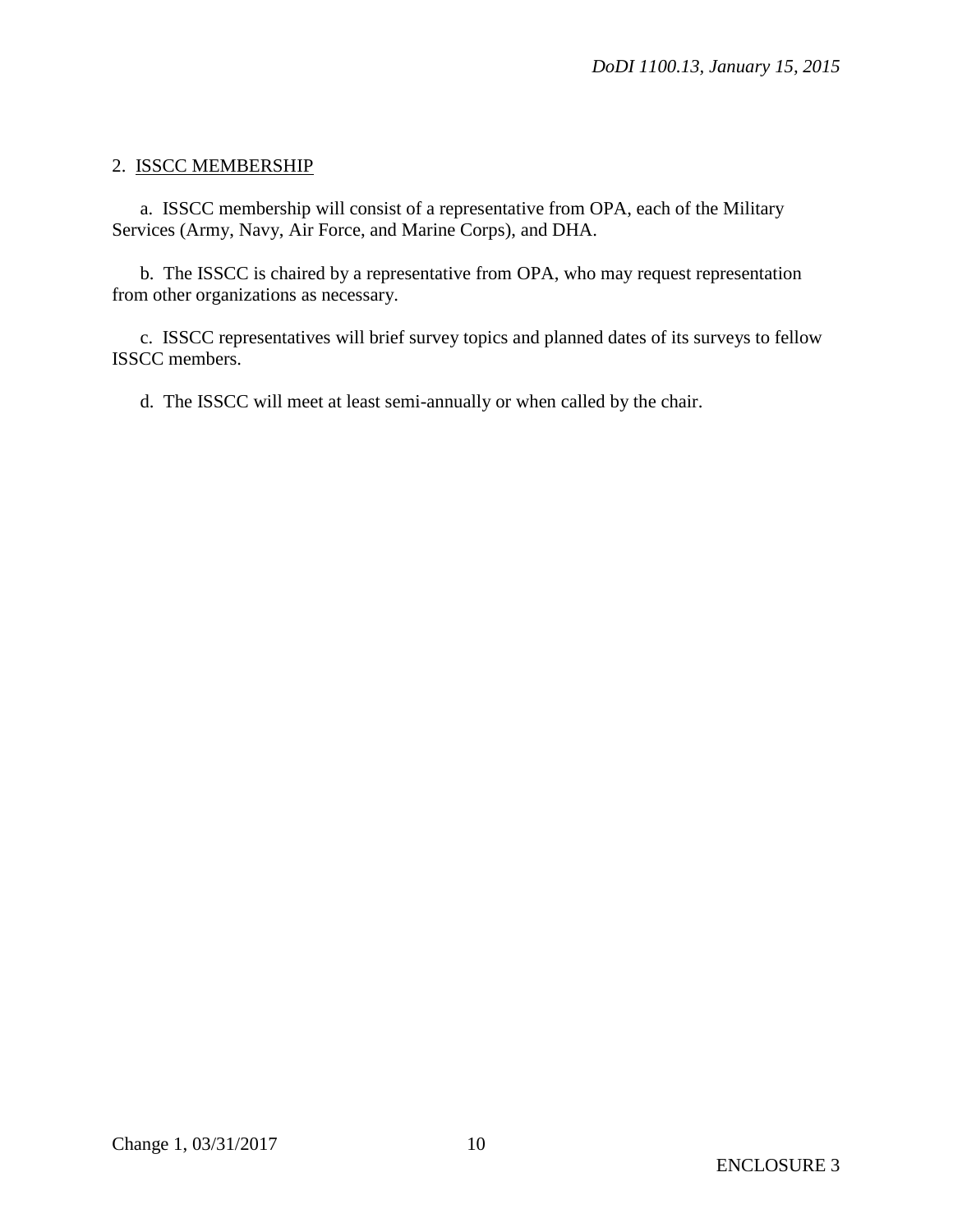# 2. ISSCC MEMBERSHIP

a. ISSCC membership will consist of a representative from OPA, each of the Military Services (Army, Navy, Air Force, and Marine Corps), and DHA.

b. The ISSCC is chaired by a representative from OPA, who may request representation from other organizations as necessary.

c. ISSCC representatives will brief survey topics and planned dates of its surveys to fellow ISSCC members.

d. The ISSCC will meet at least semi-annually or when called by the chair.